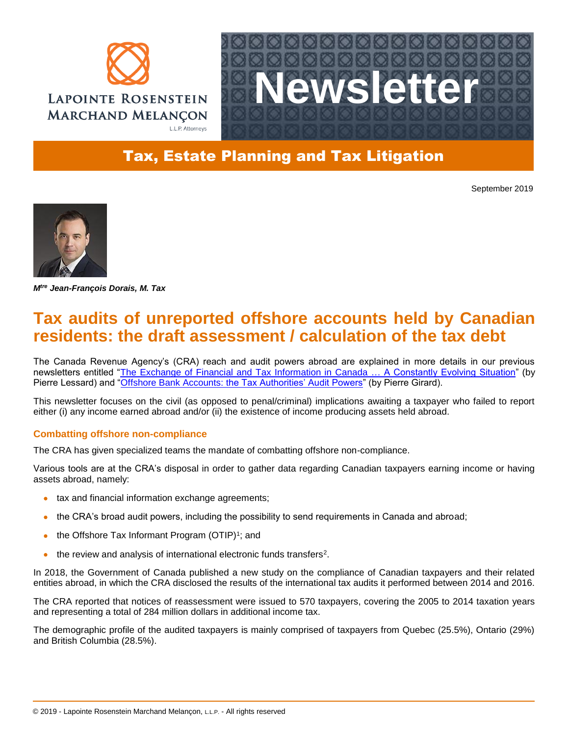



## Tax, Estate Planning and Tax Litigation

September 2019



*Mtre Jean-François Dorais, M. Tax*

# **Tax audits of unreported offshore accounts held by Canadian residents: the draft assessment / calculation of the tax debt**

The Canada Revenue Agency's (CRA) reach and audit powers abroad are explained in more details in our previous newsletters entitled ["The Exchange of Financial and Tax Information in Canada … A Constantly Evolving Situation"](http://admin.lrmm.com/CMS/Media/12199_41_en-CA_0_Tax_Newsletter_May_2019.pdf) (by Pierre Lessard) and ["Offshore Bank Accounts: the Tax Authorities' Audit Powers"](http://admin.lrmm.com/CMS/Media/12217_41_en-CA_0_Tax_Newsletter_September_2019_1.pdf) (by Pierre Girard).

This newsletter focuses on the civil (as opposed to penal/criminal) implications awaiting a taxpayer who failed to report either (i) any income earned abroad and/or (ii) the existence of income producing assets held abroad.

## **Combatting offshore non-compliance**

The CRA has given specialized teams the mandate of combatting offshore non-compliance.

Various tools are at the CRA's disposal in order to gather data regarding Canadian taxpayers earning income or having assets abroad, namely:

- tax and financial information exchange agreements;
- the CRA's broad audit powers, including the possibility to send requirements in Canada and abroad;
- $\bullet$  the Offshore Tax Informant Program (OTIP)<sup>1</sup>; and
- the review and analysis of international electronic funds transfers<sup>2</sup>.

In 2018, the Government of Canada published a new study on the compliance of Canadian taxpayers and their related entities abroad, in which the CRA disclosed the results of the international tax audits it performed between 2014 and 2016.

The CRA reported that notices of reassessment were issued to 570 taxpayers, covering the 2005 to 2014 taxation years and representing a total of 284 million dollars in additional income tax.

The demographic profile of the audited taxpayers is mainly comprised of taxpayers from Quebec (25.5%), Ontario (29%) and British Columbia (28.5%).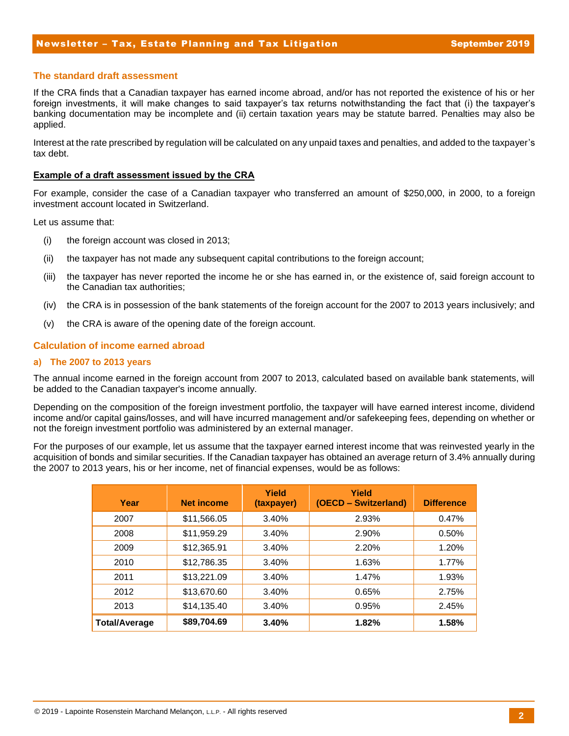#### Newsletter – Tax, Estate Planning and Tax Litigation Newsletter September 2019

#### **The standard draft assessment**

If the CRA finds that a Canadian taxpayer has earned income abroad, and/or has not reported the existence of his or her foreign investments, it will make changes to said taxpayer's tax returns notwithstanding the fact that (i) the taxpayer's banking documentation may be incomplete and (ii) certain taxation years may be statute barred. Penalties may also be applied.

Interest at the rate prescribed by regulation will be calculated on any unpaid taxes and penalties, and added to the taxpayer's tax debt.

#### **Example of a draft assessment issued by the CRA**

For example, consider the case of a Canadian taxpayer who transferred an amount of \$250,000, in 2000, to a foreign investment account located in Switzerland.

Let us assume that:

- (i) the foreign account was closed in 2013;
- (ii) the taxpayer has not made any subsequent capital contributions to the foreign account;
- (iii) the taxpayer has never reported the income he or she has earned in, or the existence of, said foreign account to the Canadian tax authorities;
- (iv) the CRA is in possession of the bank statements of the foreign account for the 2007 to 2013 years inclusively; and
- (v) the CRA is aware of the opening date of the foreign account.

#### **Calculation of income earned abroad**

#### **a) The 2007 to 2013 years**

The annual income earned in the foreign account from 2007 to 2013, calculated based on available bank statements, will be added to the Canadian taxpayer's income annually.

Depending on the composition of the foreign investment portfolio, the taxpayer will have earned interest income, dividend income and/or capital gains/losses, and will have incurred management and/or safekeeping fees, depending on whether or not the foreign investment portfolio was administered by an external manager.

For the purposes of our example, let us assume that the taxpayer earned interest income that was reinvested yearly in the acquisition of bonds and similar securities. If the Canadian taxpayer has obtained an average return of 3.4% annually during the 2007 to 2013 years, his or her income, net of financial expenses, would be as follows:

| Year                 | <b>Net income</b> | Yield<br>(taxpayer) | Yield<br>(OECD - Switzerland) | <b>Difference</b> |
|----------------------|-------------------|---------------------|-------------------------------|-------------------|
| 2007                 | \$11,566.05       | 3.40%               | 2.93%                         | 0.47%             |
| 2008                 | \$11,959.29       | 3.40%               | 2.90%                         | 0.50%             |
| 2009                 | \$12,365.91       | 3.40%               | 2.20%                         | 1.20%             |
| 2010                 | \$12,786.35       | 3.40%               | 1.63%                         | 1.77%             |
| 2011                 | \$13,221.09       | 3.40%               | 1.47%                         | 1.93%             |
| 2012                 | \$13,670.60       | 3.40%               | 0.65%                         | 2.75%             |
| 2013                 | \$14,135.40       | 3.40%               | 0.95%                         | 2.45%             |
| <b>Total/Average</b> | \$89,704.69       | 3.40%               | 1.82%                         | 1.58%             |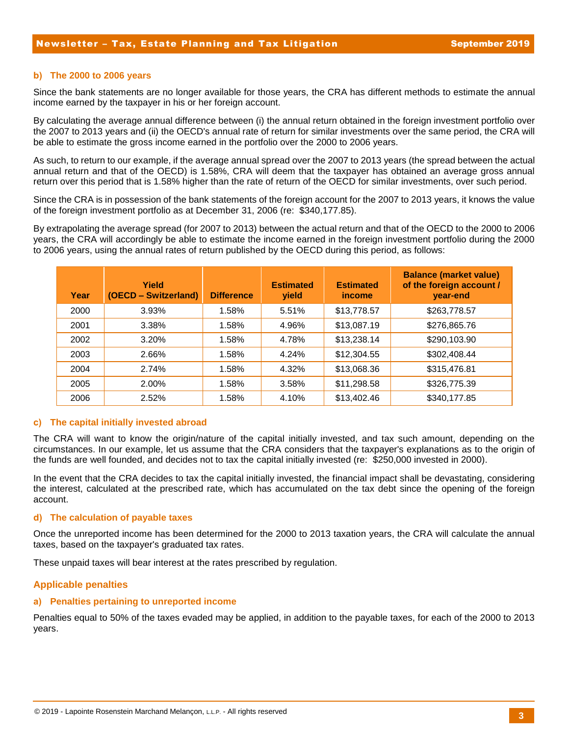#### **b) The 2000 to 2006 years**

Since the bank statements are no longer available for those years, the CRA has different methods to estimate the annual income earned by the taxpayer in his or her foreign account.

By calculating the average annual difference between (i) the annual return obtained in the foreign investment portfolio over the 2007 to 2013 years and (ii) the OECD's annual rate of return for similar investments over the same period, the CRA will be able to estimate the gross income earned in the portfolio over the 2000 to 2006 years.

As such, to return to our example, if the average annual spread over the 2007 to 2013 years (the spread between the actual annual return and that of the OECD) is 1.58%, CRA will deem that the taxpayer has obtained an average gross annual return over this period that is 1.58% higher than the rate of return of the OECD for similar investments, over such period.

Since the CRA is in possession of the bank statements of the foreign account for the 2007 to 2013 years, it knows the value of the foreign investment portfolio as at December 31, 2006 (re: \$340,177.85).

By extrapolating the average spread (for 2007 to 2013) between the actual return and that of the OECD to the 2000 to 2006 years, the CRA will accordingly be able to estimate the income earned in the foreign investment portfolio during the 2000 to 2006 years, using the annual rates of return published by the OECD during this period, as follows:

| Year | Yield<br>(OECD - Switzerland) | <b>Difference</b> | <b>Estimated</b><br><b>yield</b> | <b>Estimated</b><br>income | <b>Balance (market value)</b><br>of the foreign account /<br>year-end |
|------|-------------------------------|-------------------|----------------------------------|----------------------------|-----------------------------------------------------------------------|
| 2000 | 3.93%                         | 1.58%             | 5.51%                            | \$13,778.57                | \$263,778.57                                                          |
| 2001 | 3.38%                         | 1.58%             | 4.96%                            | \$13,087.19                | \$276,865.76                                                          |
| 2002 | 3.20%                         | 1.58%             | 4.78%                            | \$13,238.14                | \$290,103.90                                                          |
| 2003 | 2.66%                         | 1.58%             | 4.24%                            | \$12,304.55                | \$302,408.44                                                          |
| 2004 | 2.74%                         | 1.58%             | 4.32%                            | \$13,068.36                | \$315,476.81                                                          |
| 2005 | 2.00%                         | 1.58%             | 3.58%                            | \$11,298.58                | \$326,775.39                                                          |
| 2006 | 2.52%                         | 1.58%             | 4.10%                            | \$13,402.46                | \$340,177.85                                                          |

#### **c) The capital initially invested abroad**

The CRA will want to know the origin/nature of the capital initially invested, and tax such amount, depending on the circumstances. In our example, let us assume that the CRA considers that the taxpayer's explanations as to the origin of the funds are well founded, and decides not to tax the capital initially invested (re: \$250,000 invested in 2000).

In the event that the CRA decides to tax the capital initially invested, the financial impact shall be devastating, considering the interest, calculated at the prescribed rate, which has accumulated on the tax debt since the opening of the foreign account.

#### **d) The calculation of payable taxes**

Once the unreported income has been determined for the 2000 to 2013 taxation years, the CRA will calculate the annual taxes, based on the taxpayer's graduated tax rates.

These unpaid taxes will bear interest at the rates prescribed by regulation.

## **Applicable penalties**

#### **a) Penalties pertaining to unreported income**

Penalties equal to 50% of the taxes evaded may be applied, in addition to the payable taxes, for each of the 2000 to 2013 years.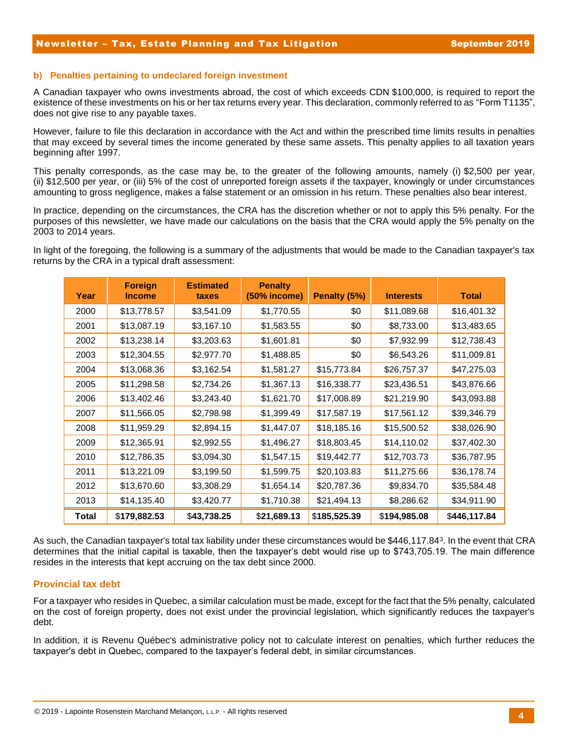#### **b) Penalties pertaining to undeclared foreign investment**

A Canadian taxpayer who owns investments abroad, the cost of which exceeds CDN \$100,000, is required to report the existence of these investments on his or her tax returns every year. This declaration, commonly referred to as "Form T1135", does not give rise to any payable taxes.

However, failure to file this declaration in accordance with the Act and within the prescribed time limits results in penalties that may exceed by several times the income generated by these same assets. This penalty applies to all taxation years beginning after 1997.

This penalty corresponds, as the case may be, to the greater of the following amounts, namely (i) \$2,500 per year, (ii) \$12,500 per year, or (iii) 5% of the cost of unreported foreign assets if the taxpayer, knowingly or under circumstances amounting to gross negligence, makes a false statement or an omission in his return. These penalties also bear interest.

In practice, depending on the circumstances, the CRA has the discretion whether or not to apply this 5% penalty. For the purposes of this newsletter, we have made our calculations on the basis that the CRA would apply the 5% penalty on the 2003 to 2014 years.

In light of the foregoing, the following is a summary of the adjustments that would be made to the Canadian taxpayer's tax returns by the CRA in a typical draft assessment:

| Year  | <b>Foreign</b><br><b>Income</b> | <b>Estimated</b><br>taxes | <b>Penalty</b><br>(50% income) | Penalty (5%) | <b>Interests</b> | <b>Total</b> |
|-------|---------------------------------|---------------------------|--------------------------------|--------------|------------------|--------------|
| 2000  | \$13,778.57                     | \$3,541.09                | \$1,770.55                     | \$0          | \$11,089.68      | \$16,401.32  |
| 2001  | \$13,087.19                     | \$3,167.10                | \$1,583.55                     | \$0          | \$8,733.00       | \$13,483.65  |
| 2002  | \$13,238.14                     | \$3,203.63                | \$1,601.81                     | \$0          | \$7,932.99       | \$12,738.43  |
| 2003  | \$12,304.55                     | \$2,977.70                | \$1,488.85                     | \$0          | \$6,543.26       | \$11,009.81  |
| 2004  | \$13,068.36                     | \$3,162.54                | \$1,581.27                     | \$15,773.84  | \$26,757.37      | \$47,275.03  |
| 2005  | \$11,298.58                     | \$2,734.26                | \$1,367.13                     | \$16,338.77  | \$23,436.51      | \$43,876.66  |
| 2006  | \$13,402.46                     | \$3,243.40                | \$1,621.70                     | \$17,008.89  | \$21,219.90      | \$43,093.88  |
| 2007  | \$11,566.05                     | \$2,798.98                | \$1,399.49                     | \$17,587.19  | \$17,561.12      | \$39,346.79  |
| 2008  | \$11,959.29                     | \$2,894.15                | \$1,447.07                     | \$18,185.16  | \$15,500.52      | \$38,026.90  |
| 2009  | \$12,365.91                     | \$2,992.55                | \$1,496.27                     | \$18,803.45  | \$14,110.02      | \$37,402.30  |
| 2010  | \$12,786.35                     | \$3,094.30                | \$1,547.15                     | \$19,442.77  | \$12,703.73      | \$36,787.95  |
| 2011  | \$13,221.09                     | \$3,199.50                | \$1,599.75                     | \$20,103.83  | \$11,275.66      | \$36,178.74  |
| 2012  | \$13,670.60                     | \$3,308.29                | \$1,654.14                     | \$20,787.36  | \$9,834.70       | \$35,584.48  |
| 2013  | \$14,135.40                     | \$3,420.77                | \$1,710.38                     | \$21,494.13  | \$8,286.62       | \$34,911.90  |
| Total | \$179,882.53                    | \$43,738.25               | \$21,689.13                    | \$185,525.39 | \$194,985.08     | \$446,117.84 |

As such, the Canadian taxpayer's total tax liability under these circumstances would be \$446,117.84<sup>3</sup> . In the event that CRA determines that the initial capital is taxable, then the taxpayer's debt would rise up to \$743,705.19. The main difference resides in the interests that kept accruing on the tax debt since 2000.

## **Provincial tax debt**

For a taxpayer who resides in Quebec, a similar calculation must be made, except for the fact that the 5% penalty, calculated on the cost of foreign property, does not exist under the provincial legislation, which significantly reduces the taxpayer's debt.

In addition, it is Revenu Québec's administrative policy not to calculate interest on penalties, which further reduces the taxpayer's debt in Quebec, compared to the taxpayer's federal debt, in similar circumstances.